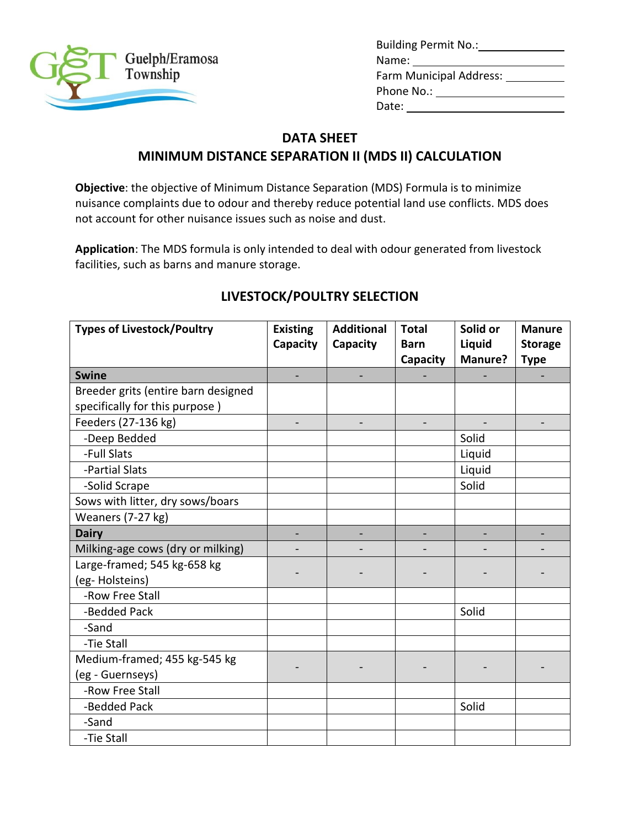

| Building Permit No.:    |  |
|-------------------------|--|
| Name:                   |  |
| Farm Municipal Address: |  |
| Phone No.:              |  |
| Date:                   |  |

### **DATA SHEET**

### **MINIMUM DISTANCE SEPARATION II (MDS II) CALCULATION**

**Objective**: the objective of Minimum Distance Separation (MDS) Formula is to minimize nuisance complaints due to odour and thereby reduce potential land use conflicts. MDS does not account for other nuisance issues such as noise and dust.

**Application**: The MDS formula is only intended to deal with odour generated from livestock facilities, such as barns and manure storage.

| <b>Types of Livestock/Poultry</b>   | <b>Existing</b><br>Capacity | <b>Additional</b><br>Capacity | <b>Total</b><br><b>Barn</b> | Solid or<br>Liquid | <b>Manure</b><br><b>Storage</b> |
|-------------------------------------|-----------------------------|-------------------------------|-----------------------------|--------------------|---------------------------------|
|                                     |                             |                               | Capacity                    | Manure?            | <b>Type</b>                     |
| <b>Swine</b>                        |                             |                               |                             |                    |                                 |
| Breeder grits (entire barn designed |                             |                               |                             |                    |                                 |
| specifically for this purpose)      |                             |                               |                             |                    |                                 |
| Feeders (27-136 kg)                 |                             |                               |                             |                    |                                 |
| -Deep Bedded                        |                             |                               |                             | Solid              |                                 |
| -Full Slats                         |                             |                               |                             | Liquid             |                                 |
| -Partial Slats                      |                             |                               |                             | Liquid             |                                 |
| -Solid Scrape                       |                             |                               |                             | Solid              |                                 |
| Sows with litter, dry sows/boars    |                             |                               |                             |                    |                                 |
| Weaners (7-27 kg)                   |                             |                               |                             |                    |                                 |
| <b>Dairy</b>                        |                             |                               |                             |                    |                                 |
| Milking-age cows (dry or milking)   |                             |                               |                             |                    |                                 |
| Large-framed; 545 kg-658 kg         |                             |                               |                             |                    |                                 |
| (eg-Holsteins)                      |                             |                               |                             |                    |                                 |
| -Row Free Stall                     |                             |                               |                             |                    |                                 |
| -Bedded Pack                        |                             |                               |                             | Solid              |                                 |
| -Sand                               |                             |                               |                             |                    |                                 |
| -Tie Stall                          |                             |                               |                             |                    |                                 |
| Medium-framed; 455 kg-545 kg        |                             |                               |                             |                    |                                 |
| (eg - Guernseys)                    |                             |                               |                             |                    |                                 |
| -Row Free Stall                     |                             |                               |                             |                    |                                 |
| -Bedded Pack                        |                             |                               |                             | Solid              |                                 |
| -Sand                               |                             |                               |                             |                    |                                 |
| -Tie Stall                          |                             |                               |                             |                    |                                 |

## **LIVESTOCK/POULTRY SELECTION**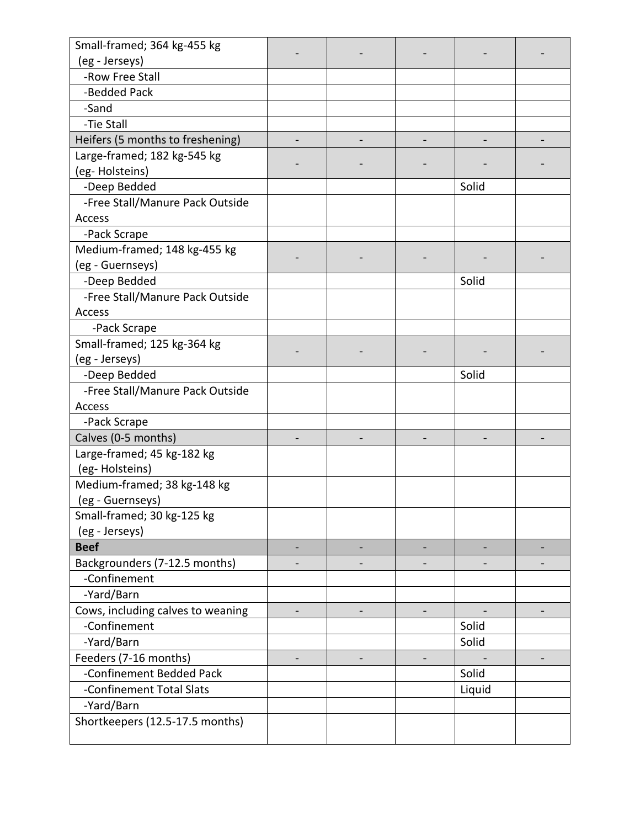| Small-framed; 364 kg-455 kg       |  |        |  |
|-----------------------------------|--|--------|--|
| (eg - Jerseys)                    |  |        |  |
| -Row Free Stall                   |  |        |  |
| -Bedded Pack                      |  |        |  |
| -Sand                             |  |        |  |
| -Tie Stall                        |  |        |  |
| Heifers (5 months to freshening)  |  |        |  |
| Large-framed; 182 kg-545 kg       |  |        |  |
| (eg-Holsteins)                    |  |        |  |
| -Deep Bedded                      |  | Solid  |  |
| -Free Stall/Manure Pack Outside   |  |        |  |
| Access                            |  |        |  |
| -Pack Scrape                      |  |        |  |
| Medium-framed; 148 kg-455 kg      |  |        |  |
| (eg - Guernseys)                  |  |        |  |
| -Deep Bedded                      |  | Solid  |  |
| -Free Stall/Manure Pack Outside   |  |        |  |
| Access                            |  |        |  |
| -Pack Scrape                      |  |        |  |
| Small-framed; 125 kg-364 kg       |  |        |  |
| (eg - Jerseys)                    |  |        |  |
| -Deep Bedded                      |  | Solid  |  |
| -Free Stall/Manure Pack Outside   |  |        |  |
| Access                            |  |        |  |
| -Pack Scrape                      |  |        |  |
| Calves (0-5 months)               |  |        |  |
| Large-framed; 45 kg-182 kg        |  |        |  |
| (eg-Holsteins)                    |  |        |  |
| Medium-framed; 38 kg-148 kg       |  |        |  |
| (eg - Guernseys)                  |  |        |  |
| Small-framed; 30 kg-125 kg        |  |        |  |
| (eg - Jerseys)                    |  |        |  |
| <b>Beef</b>                       |  |        |  |
| Backgrounders (7-12.5 months)     |  |        |  |
| -Confinement                      |  |        |  |
| -Yard/Barn                        |  |        |  |
| Cows, including calves to weaning |  |        |  |
| -Confinement                      |  | Solid  |  |
| -Yard/Barn                        |  | Solid  |  |
| Feeders (7-16 months)             |  |        |  |
| -Confinement Bedded Pack          |  | Solid  |  |
| -Confinement Total Slats          |  | Liquid |  |
| -Yard/Barn                        |  |        |  |
| Shortkeepers (12.5-17.5 months)   |  |        |  |
|                                   |  |        |  |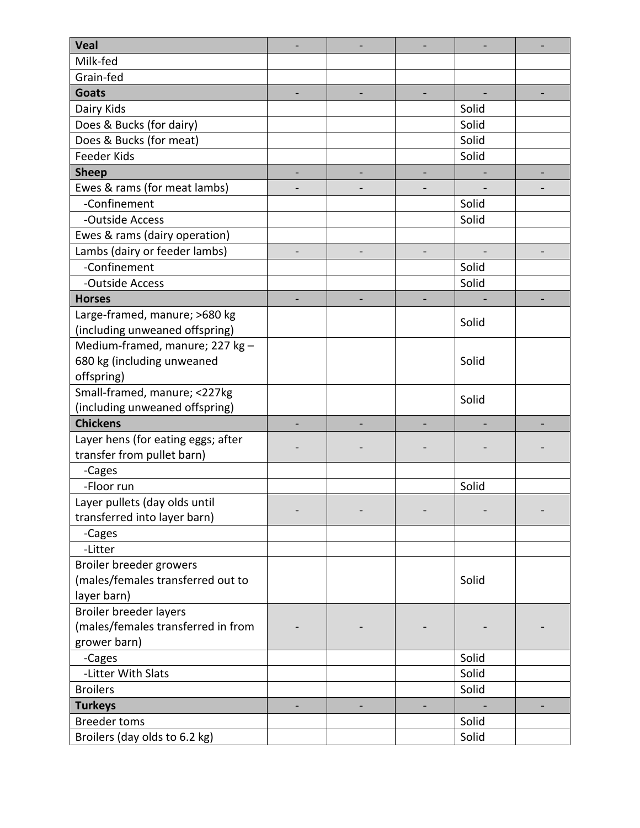| <b>Veal</b>                        |  |       |  |
|------------------------------------|--|-------|--|
| Milk-fed                           |  |       |  |
| Grain-fed                          |  |       |  |
| <b>Goats</b>                       |  |       |  |
| Dairy Kids                         |  | Solid |  |
| Does & Bucks (for dairy)           |  | Solid |  |
| Does & Bucks (for meat)            |  | Solid |  |
| <b>Feeder Kids</b>                 |  | Solid |  |
| <b>Sheep</b>                       |  |       |  |
| Ewes & rams (for meat lambs)       |  |       |  |
| -Confinement                       |  | Solid |  |
| -Outside Access                    |  | Solid |  |
| Ewes & rams (dairy operation)      |  |       |  |
| Lambs (dairy or feeder lambs)      |  |       |  |
| -Confinement                       |  | Solid |  |
| -Outside Access                    |  | Solid |  |
| <b>Horses</b>                      |  |       |  |
| Large-framed, manure; >680 kg      |  |       |  |
| (including unweaned offspring)     |  | Solid |  |
| Medium-framed, manure; 227 kg -    |  |       |  |
| 680 kg (including unweaned         |  | Solid |  |
| offspring)                         |  |       |  |
| Small-framed, manure; <227kg       |  | Solid |  |
| (including unweaned offspring)     |  |       |  |
| <b>Chickens</b>                    |  |       |  |
| Layer hens (for eating eggs; after |  |       |  |
| transfer from pullet barn)         |  |       |  |
| -Cages                             |  |       |  |
| -Floor run                         |  | Solid |  |
| Layer pullets (day olds until      |  |       |  |
| transferred into layer barn)       |  |       |  |
| -Cages                             |  |       |  |
| -Litter                            |  |       |  |
| Broiler breeder growers            |  |       |  |
| (males/females transferred out to  |  | Solid |  |
| layer barn)                        |  |       |  |
| Broiler breeder layers             |  |       |  |
| (males/females transferred in from |  |       |  |
| grower barn)                       |  |       |  |
| -Cages                             |  | Solid |  |
| -Litter With Slats                 |  | Solid |  |
| <b>Broilers</b>                    |  | Solid |  |
| <b>Turkeys</b>                     |  |       |  |
| <b>Breeder toms</b>                |  | Solid |  |
| Broilers (day olds to 6.2 kg)      |  | Solid |  |